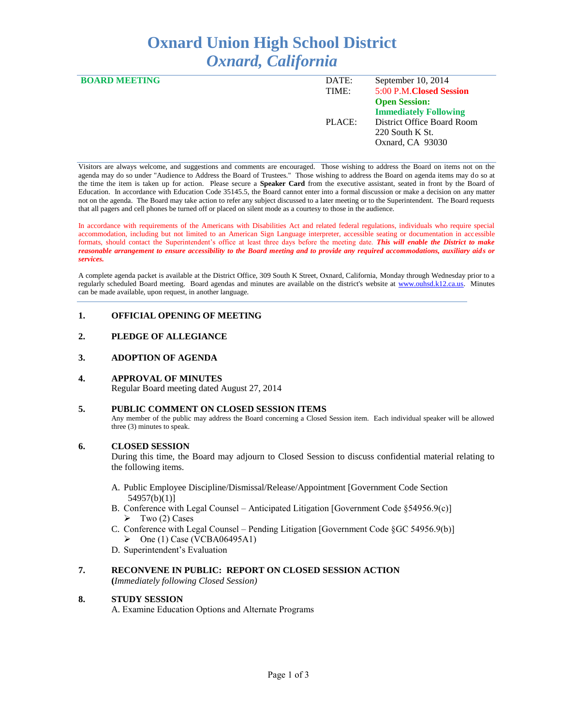# **Oxnard Union High School District** *Oxnard, California*

| <b>BOARD MEETING</b> | DATE:  | September 10, 2014           |
|----------------------|--------|------------------------------|
|                      | TIME:  | 5:00 P.M.Closed Session      |
|                      |        | <b>Open Session:</b>         |
|                      |        | <b>Immediately Following</b> |
|                      | PLACE: | District Office Board Room   |
|                      |        | $220$ South K St.            |
|                      |        | Oxnard, CA 93030             |
|                      |        |                              |

Visitors are always welcome, and suggestions and comments are encouraged. Those wishing to address the Board on items not on the agenda may do so under "Audience to Address the Board of Trustees." Those wishing to address the Board on agenda items may do so at the time the item is taken up for action. Please secure a **Speaker Card** from the executive assistant, seated in front by the Board of Education. In accordance with Education Code 35145.5, the Board cannot enter into a formal discussion or make a decision on any matter not on the agenda. The Board may take action to refer any subject discussed to a later meeting or to the Superintendent. The Board requests that all pagers and cell phones be turned off or placed on silent mode as a courtesy to those in the audience.

In accordance with requirements of the Americans with Disabilities Act and related federal regulations, individuals who require special accommodation, including but not limited to an American Sign Language interpreter, accessible seating or documentation in accessible formats, should contact the Superintendent's office at least three days before the meeting date. *This will enable the District to make reasonable arrangement to ensure accessibility to the Board meeting and to provide any required accommodations, auxiliary aids or services.* 

A complete agenda packet is available at the District Office, 309 South K Street, Oxnard, California, Monday through Wednesday prior to a regularly scheduled Board meeting. Board agendas and minutes are available on the district's website at [www.ouhsd.k12.ca.us.](http://www.ouhsd.k12.ca.us/)Minutes can be made available, upon request, in another language.

#### **1. OFFICIAL OPENING OF MEETING**

#### **2. PLEDGE OF ALLEGIANCE**

#### **3. ADOPTION OF AGENDA**

### **4. APPROVAL OF MINUTES**

Regular Board meeting dated August 27, 2014

#### **5. PUBLIC COMMENT ON CLOSED SESSION ITEMS**

Any member of the public may address the Board concerning a Closed Session item. Each individual speaker will be allowed three (3) minutes to speak.

#### **6. CLOSED SESSION**

During this time, the Board may adjourn to Closed Session to discuss confidential material relating to the following items.

- A. Public Employee Discipline/Dismissal/Release/Appointment [Government Code Section 54957(b)(1)]
- B. Conference with Legal Counsel Anticipated Litigation [Government Code §54956.9(c)]  $\triangleright$  Two (2) Cases
- C. Conference with Legal Counsel Pending Litigation [Government Code §GC 54956.9(b)]  $\triangleright$  One (1) Case (VCBA06495A1)
- D. Superintendent's Evaluation

#### **7. RECONVENE IN PUBLIC: REPORT ON CLOSED SESSION ACTION**

**(***Immediately following Closed Session)*

#### **8. STUDY SESSION**

A. Examine Education Options and Alternate Programs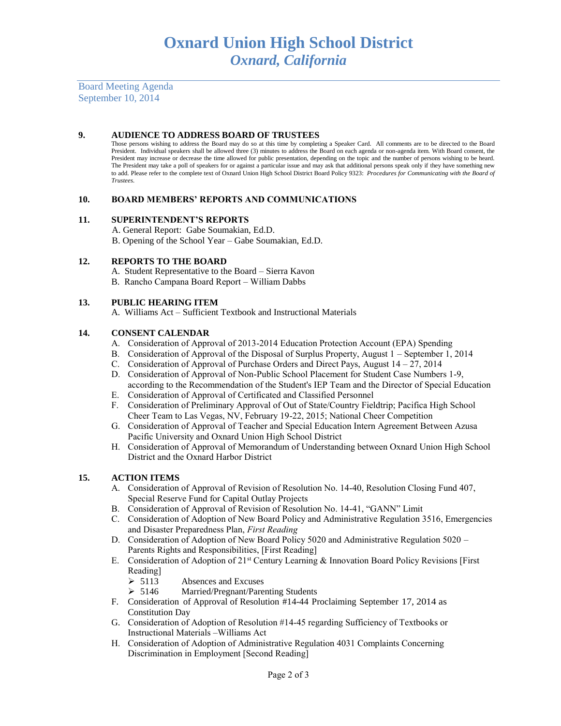Board Meeting Agenda September 10, 2014

#### **9. AUDIENCE TO ADDRESS BOARD OF TRUSTEES**

Those persons wishing to address the Board may do so at this time by completing a Speaker Card. All comments are to be directed to the Board President. Individual speakers shall be allowed three (3) minutes to address the Board on each agenda or non-agenda item. With Board consent, the President may increase or decrease the time allowed for public presentation, depending on the topic and the number of persons wishing to be heard. The President may take a poll of speakers for or against a particular issue and may ask that additional persons speak only if they have something new to add. Please refer to the complete text of Oxnard Union High School District Board Policy 9323: *Procedures for Communicating with the Board of Trustees.*

#### **10. BOARD MEMBERS' REPORTS AND COMMUNICATIONS**

#### **11. SUPERINTENDENT'S REPORTS**

A. General Report: Gabe Soumakian, Ed.D. B. Opening of the School Year – Gabe Soumakian, Ed.D.

#### **12. REPORTS TO THE BOARD**

A. Student Representative to the Board – Sierra Kavon

B. Rancho Campana Board Report – William Dabbs

#### **13. PUBLIC HEARING ITEM**

A. Williams Act – Sufficient Textbook and Instructional Materials

#### **14. CONSENT CALENDAR**

- A. Consideration of Approval of 2013-2014 Education Protection Account (EPA) Spending
- B. Consideration of Approval of the Disposal of Surplus Property, August 1 September 1, 2014
- C. Consideration of Approval of Purchase Orders and Direct Pays, August 14 27, 2014
- D. Consideration of Approval of Non-Public School Placement for Student Case Numbers 1-9, according to the Recommendation of the Student's IEP Team and the Director of Special Education
- E. Consideration of Approval of Certificated and Classified Personnel
- F. Consideration of Preliminary Approval of Out of State/Country Fieldtrip; Pacifica High School Cheer Team to Las Vegas, NV, February 19-22, 2015; National Cheer Competition
- G. Consideration of Approval of Teacher and Special Education Intern Agreement Between Azusa Pacific University and Oxnard Union High School District
- H. Consideration of Approval of Memorandum of Understanding between Oxnard Union High School District and the Oxnard Harbor District

#### **15. ACTION ITEMS**

- A. Consideration of Approval of Revision of Resolution No. 14-40, Resolution Closing Fund 407, Special Reserve Fund for Capital Outlay Projects
- B. Consideration of Approval of Revision of Resolution No. 14-41, "GANN" Limit
- C. Consideration of Adoption of New Board Policy and Administrative Regulation 3516, Emergencies and Disaster Preparedness Plan, *First Reading*
- D. Consideration of Adoption of New Board Policy 5020 and Administrative Regulation 5020 Parents Rights and Responsibilities, [First Reading]
- E. Consideration of Adoption of 21st Century Learning & Innovation Board Policy Revisions [First Reading]
	- $\geq 5113$  Absences and Excuses
	- 5146 Married/Pregnant/Parenting Students
- F. Consideration of Approval of Resolution #14-44 Proclaiming September 17, 2014 as Constitution Day
- G. Consideration of Adoption of Resolution #14-45 regarding Sufficiency of Textbooks or Instructional Materials –Williams Act
- H. Consideration of Adoption of Administrative Regulation 4031 Complaints Concerning Discrimination in Employment [Second Reading]